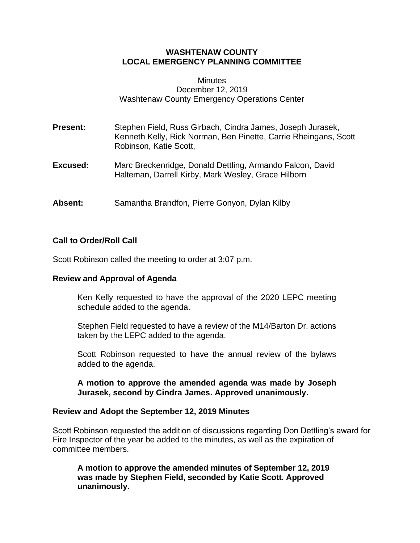# **WASHTENAW COUNTY LOCAL EMERGENCY PLANNING COMMITTEE**

#### **Minutes** December 12, 2019 Washtenaw County Emergency Operations Center

- **Present:** Stephen Field, Russ Girbach, Cindra James, Joseph Jurasek, Kenneth Kelly, Rick Norman, Ben Pinette, Carrie Rheingans, Scott Robinson, Katie Scott,
- **Excused:** Marc Breckenridge, Donald Dettling, Armando Falcon, David Halteman, Darrell Kirby, Mark Wesley, Grace Hilborn
- **Absent:** Samantha Brandfon, Pierre Gonyon, Dylan Kilby

### **Call to Order/Roll Call**

Scott Robinson called the meeting to order at 3:07 p.m.

## **Review and Approval of Agenda**

Ken Kelly requested to have the approval of the 2020 LEPC meeting schedule added to the agenda.

Stephen Field requested to have a review of the M14/Barton Dr. actions taken by the LEPC added to the agenda.

Scott Robinson requested to have the annual review of the bylaws added to the agenda.

**A motion to approve the amended agenda was made by Joseph Jurasek, second by Cindra James. Approved unanimously.**

#### **Review and Adopt the September 12, 2019 Minutes**

Scott Robinson requested the addition of discussions regarding Don Dettling's award for Fire Inspector of the year be added to the minutes, as well as the expiration of committee members.

**A motion to approve the amended minutes of September 12, 2019 was made by Stephen Field, seconded by Katie Scott. Approved unanimously.**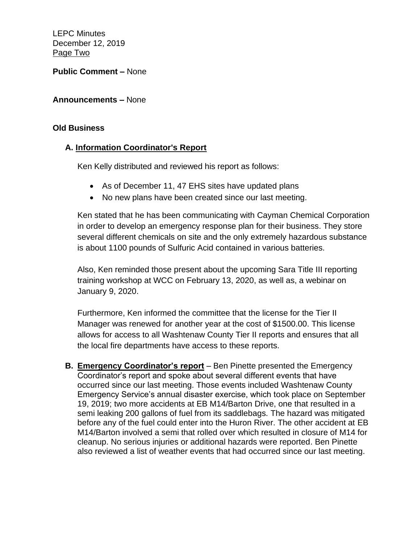LEPC Minutes December 12, 2019 Page Two

**Public Comment –** None

**Announcements –** None

# **Old Business**

# **A. Information Coordinator's Report**

Ken Kelly distributed and reviewed his report as follows:

- As of December 11, 47 EHS sites have updated plans
- No new plans have been created since our last meeting.

Ken stated that he has been communicating with Cayman Chemical Corporation in order to develop an emergency response plan for their business. They store several different chemicals on site and the only extremely hazardous substance is about 1100 pounds of Sulfuric Acid contained in various batteries.

Also, Ken reminded those present about the upcoming Sara Title III reporting training workshop at WCC on February 13, 2020, as well as, a webinar on January 9, 2020.

Furthermore, Ken informed the committee that the license for the Tier II Manager was renewed for another year at the cost of \$1500.00. This license allows for access to all Washtenaw County Tier II reports and ensures that all the local fire departments have access to these reports.

**B. Emergency Coordinator's report** – Ben Pinette presented the Emergency Coordinator's report and spoke about several different events that have occurred since our last meeting. Those events included Washtenaw County Emergency Service's annual disaster exercise, which took place on September 19, 2019; two more accidents at EB M14/Barton Drive, one that resulted in a semi leaking 200 gallons of fuel from its saddlebags. The hazard was mitigated before any of the fuel could enter into the Huron River. The other accident at EB M14/Barton involved a semi that rolled over which resulted in closure of M14 for cleanup. No serious injuries or additional hazards were reported. Ben Pinette also reviewed a list of weather events that had occurred since our last meeting.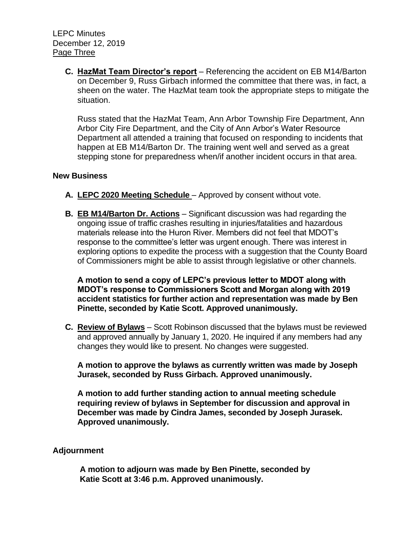**C. HazMat Team Director's report** – Referencing the accident on EB M14/Barton on December 9, Russ Girbach informed the committee that there was, in fact, a sheen on the water. The HazMat team took the appropriate steps to mitigate the situation.

Russ stated that the HazMat Team, Ann Arbor Township Fire Department, Ann Arbor City Fire Department, and the City of Ann Arbor's Water Resource Department all attended a training that focused on responding to incidents that happen at EB M14/Barton Dr. The training went well and served as a great stepping stone for preparedness when/if another incident occurs in that area.

### **New Business**

- **A. LEPC 2020 Meeting Schedule** Approved by consent without vote.
- **B. EB M14/Barton Dr. Actions** Significant discussion was had regarding the ongoing issue of traffic crashes resulting in injuries/fatalities and hazardous materials release into the Huron River. Members did not feel that MDOT's response to the committee's letter was urgent enough. There was interest in exploring options to expedite the process with a suggestion that the County Board of Commissioners might be able to assist through legislative or other channels.

**A motion to send a copy of LEPC's previous letter to MDOT along with MDOT's response to Commissioners Scott and Morgan along with 2019 accident statistics for further action and representation was made by Ben Pinette, seconded by Katie Scott. Approved unanimously.** 

**C. Review of Bylaws** – Scott Robinson discussed that the bylaws must be reviewed and approved annually by January 1, 2020. He inquired if any members had any changes they would like to present. No changes were suggested.

**A motion to approve the bylaws as currently written was made by Joseph Jurasek, seconded by Russ Girbach. Approved unanimously.** 

**A motion to add further standing action to annual meeting schedule requiring review of bylaws in September for discussion and approval in December was made by Cindra James, seconded by Joseph Jurasek. Approved unanimously.** 

## **Adjournment**

**A motion to adjourn was made by Ben Pinette, seconded by Katie Scott at 3:46 p.m. Approved unanimously.**